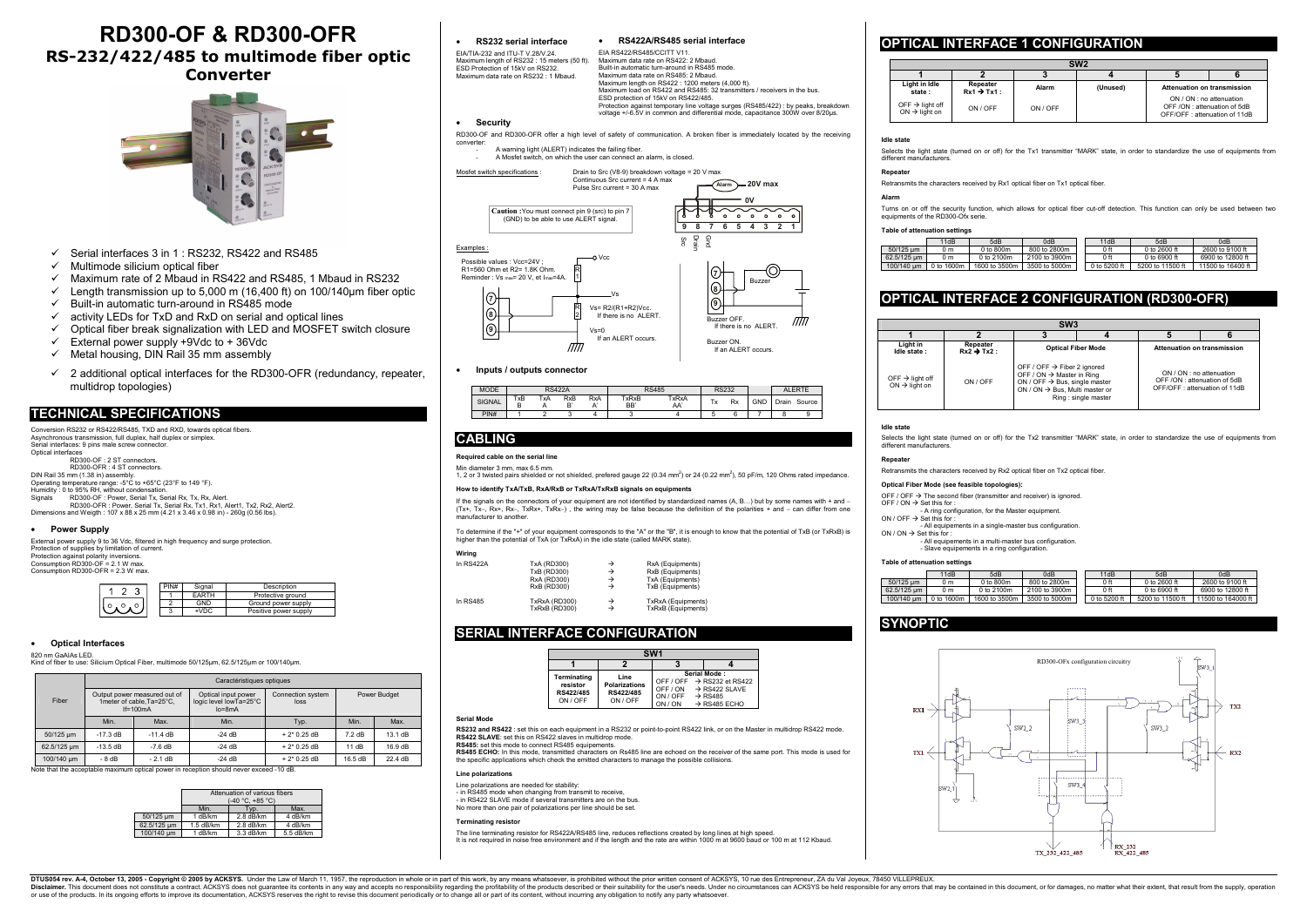- $\checkmark$  Serial interfaces 3 in 1 : RS232, RS422 and RS485
- $\checkmark$  Multimode silicium optical fiber
- $\checkmark$  Maximum rate of 2 Mbaud in RS422 and RS485, 1 Mbaud in RS232
- $\checkmark$  Length transmission up to 5,000 m (16,400 ft) on 100/140 µm fiber optic
- $\checkmark$  Built-in automatic turn-around in RS485 mode
- $\checkmark$  activity LEDs for TxD and RxD on serial and optical lines
- $\checkmark$  Optical fiber break signalization with LED and MOSFET switch closure
- $\checkmark$  External power supply +9Vdc to + 36Vdc
- $\checkmark$  Metal housing, DIN Rail 35 mm assembly
- $\checkmark$  2 additional optical interfaces for the RD300-OFR (redundancy, repeater, multidrop topologies)

| Conversion RS232 or RS422/RS485, TXD and RXD, towards optical fibers.                                      |
|------------------------------------------------------------------------------------------------------------|
| Asynchronous transmission, full duplex, half duplex or simplex.                                            |
| Serial interfaces: 9 pins male screw connector.                                                            |
| Optical interfaces                                                                                         |
| RD300-OF: 2 ST connectors.                                                                                 |
| RD300-OFR: 4 ST connectors.                                                                                |
| DIN Rail 35 mm (1.38 in) assembly.                                                                         |
| Operating temperature range: -5°C to +65°C (23°F to 149 °F).                                               |
| Humidity: 0 to 95% RH, without condensation.                                                               |
| Signals<br>RD300-OF: Power, Serial Tx, Serial Rx, Tx, Rx, Alert,                                           |
| RD300-OFR: Power, Serial Tx, Serial Rx, Tx1, Rx1, Alert1, Tx2, Rx2, Alert2.                                |
| Dimensions and Weigth: $107 \times 88 \times 25$ mm $(4.21 \times 3.46 \times 0.98$ in) - 260g (0.56 lbs). |

# **RD300-OF & RD300-OFR RS-232/422/485 to multimode fiber optic Converter**



# **TECHNICAL SPECIFICATIONS**

If the signals on the connectors of your equipment are not identified by standardized names (A, B…) but by some names with + and <sup>−</sup> (Tx+, Tx<sup>−</sup>, Rx+, Rx<sup>−</sup>, TxRx+, TxRx−) , the wiring may be false because the definition of the polarities + and − can differ from one  $m$ anufacturer to another

To determine if the "+" of your equipment corresponds to the "A" or the "B", it is enough to know that the potential of TxB (or TxRxB) is<br>higher than the potential of TxA (or TxRxA) in the idle state (called MARK state).

#### •**Power Supply**

| External power supply 9 to 36 Vdc, filtered in high frequency and surge protection.<br>Protection of supplies by limitation of current. |
|-----------------------------------------------------------------------------------------------------------------------------------------|
| Protection against polarity inversions.                                                                                                 |
| Consumption RD300-OF = 2.1 W max.                                                                                                       |
| Consumption RD300-OFR = 2.3 W max.                                                                                                      |

| PIN# | Signal | Description           |
|------|--------|-----------------------|
|      | FARTH  | Protective ground     |
|      | GND    | Ground power supply   |
|      | +VDC   | Positive power supply |
|      |        |                       |

### • **Optical Interfaces**

820 nm GaAIAs LED.

Kind of fiber to use: Silicium Optical Fiber, multimode 50/125µm, 62.5/125µm or 100/140µm.

**RS232 and RS422** : set this on each equipment in a RS232 or point-to-point RS422 link, or on the Master in multidrop RS422 mode. **RS422 SLAVE:** set this on RS422 slaves in multidrop mode.

**RS485 ECHO:** In this mode, transmitted characters on Rs485 line are echoed on the receiver of the same port. This mode is used for the specific applications which check the emitted characters to manage the possible collisions.

| Caractéristiques optiques                                                                                                              |            |                        |                           |                  |              |  |  |  |
|----------------------------------------------------------------------------------------------------------------------------------------|------------|------------------------|---------------------------|------------------|--------------|--|--|--|
| Optical input power<br>Output power measured out of<br>1 meter of cable. Ta=25 °C.<br>$If=100mA$<br>$lo = 8mA$<br>Min.<br>Max.<br>Min. |            | logic level lowTa=25°C | Connection system<br>loss |                  | Power Budget |  |  |  |
|                                                                                                                                        |            | Typ.                   | Min.                      | Max.             |              |  |  |  |
| $-17.3 \text{ dB}$                                                                                                                     | $-11.4$ dB | $-24$ dB               | $+2*0.25$ dB              | $7.2 \text{ dB}$ | 13.1 dB      |  |  |  |
| $-13.5$ dB                                                                                                                             | $-7.6$ dB  | $-24$ dB               | $+2*0.25$ dB              | 11dB             | 16.9 dB      |  |  |  |
| $-8dB$<br>$-2.1$ dB<br>$-24$ dB                                                                                                        |            | $+2*0.25$ dB           | 16.5 dB                   | 22.4 dB          |              |  |  |  |
|                                                                                                                                        |            |                        |                           |                  |              |  |  |  |

Note that the acceptable maximum optical power in reception should never exceed -10 dB.

|             | Attenuation of various fibers<br>(-40 °C, +85 °C) |             |           |  |  |  |  |
|-------------|---------------------------------------------------|-------------|-----------|--|--|--|--|
|             | Min.<br>Max.<br>Tvp.                              |             |           |  |  |  |  |
| 50/125 um   | 1 dB/km                                           | $2.8$ dB/km | 4 dB/km   |  |  |  |  |
| 62.5/125 um | $1.5$ dB/km                                       | $2.8$ dB/km | 4 dB/km   |  |  |  |  |
| 100/140 um  | 1 dB/km                                           | 3.3 dB/km   | 5.5 dB/km |  |  |  |  |

•

 **RS232 serial interface**  EIA/TIA-232 and ITU-T V.28/V.24.

Maximum length of RS232 : 15 meters (50 ft). ESD Protection of 15kV on RS232.

•

**Inputs / outputs connector** 

| <b>MODE</b>   |               | <b>RS422A</b> |            |                  |              | <b>RS485</b>        |    | <b>RS232</b> |     |       | AI FRTF |
|---------------|---------------|---------------|------------|------------------|--------------|---------------------|----|--------------|-----|-------|---------|
| <b>SIGNAL</b> | TxB<br>n<br>в | TxA           | <b>RxB</b> | <b>RxA</b><br>Λ. | TxRxB<br>BB' | <b>TxRxA</b><br>AA' | Tx | Rx           | GND | Drain | Source  |
| PIN#          |               |               |            |                  |              |                     |    |              |     |       |         |

# **CABLING**

**Required cable on the serial line** 

Min diameter 3 mm, max 6.5 mm.

1, 2 or 3 twisted pairs shielded or not shielded, prefered gauge 22 (0.34 mm<sup>2</sup>) or 24 (0.22 mm<sup>2</sup>), 50 pF/m, 120 Ohms rated impedance.

# **How to identify TxA/TxB, RxA/RxB or TxRxA/TxRxB signals on equipments**

| Wiring |  |
|--------|--|
|        |  |

| TxA (RD300)          | → | RxA (Equipments)   |  |
|----------------------|---|--------------------|--|
| TxB (RD300)          | → | RxB (Equipments)   |  |
| <b>RxA (RD300)</b>   | → | TxA (Equipments)   |  |
| <b>RxB (RD300)</b>   | → | TxB (Equipments)   |  |
| TxRxA (RD300)        | → | TxRxA (Equipments) |  |
| <b>TxRxB (RD300)</b> | → | TxRxB (Equipments) |  |
|                      |   |                    |  |

# **SERIAL INTERFACE CONFIGURATION**

| SW <sub>1</sub>                                  |                                                       |                                                     |                                                                                                                 |  |  |  |  |  |  |  |
|--------------------------------------------------|-------------------------------------------------------|-----------------------------------------------------|-----------------------------------------------------------------------------------------------------------------|--|--|--|--|--|--|--|
|                                                  |                                                       |                                                     |                                                                                                                 |  |  |  |  |  |  |  |
| Terminating<br>resistor<br>RS422/485<br>ON / OFF | Line<br><b>Polarizations</b><br>RS422/485<br>ON / OFF | OFF / ON<br>ON / OFF $\rightarrow$ RS485<br>ON / ON | Serial Mode:<br>OFF / OFF $\rightarrow$ RS232 et RS422<br>$\rightarrow$ RS422 SLAVE<br>$\rightarrow$ RS485 ECHO |  |  |  |  |  |  |  |

## **Serial Mode**

**RS485:** set this mode to connect RS485 equipements.

#### **Line polarizations**

- Line polarizations are needed for stability:
- in RS485 mode when changing from transmit to receive, in RS422 SLAVE mode if several transmitters are on the bus.
- No more than one pair of polarizations per line should be set.
- 

#### **Terminating resisto**

The line terminating resistor for RS422A/RS485 line, reduces reflections created by long lines at high speed. It is not required in noise free environment and if the length and the rate are within 1000 m at 9600 baud or 100 m at 112 Kbaud.

# **OPTICAL INTERFACE 1 CONFIGURATION**

| SW <sub>2</sub>                                          |                                     |          |          |                                                                                         |  |  |  |  |  |
|----------------------------------------------------------|-------------------------------------|----------|----------|-----------------------------------------------------------------------------------------|--|--|--|--|--|
|                                                          |                                     |          |          |                                                                                         |  |  |  |  |  |
| Light in Idle<br>state:                                  | Repeater<br>$Rx1 \rightarrow Tx1$ : | Alarm    | (Unused) | Attenuation on transmission                                                             |  |  |  |  |  |
| OFF $\rightarrow$ light off<br>$ON \rightarrow$ light on | ON / OFF                            | ON / OFF |          | ON / ON : no attenuation<br>OFF /ON: attenuation of 5dB<br>OFF/OFF: attenuation of 11dB |  |  |  |  |  |

| Maximum data rate on RS232 : 1 Mbaud.                                                                                       | Maximum data rate on RS485: 2 Mbaud.<br>Maximum length on RS422 : 1200 meters (4,000 ft).<br>Maximum load on RS422 and RS485: 32 transmitters / receivers in the bus.<br>ESD protection of 15kV on RS422/485.<br>Protection against temporary line voltage surges (RS485/422) : by peaks, breakdown<br>voltage +/-6.5V in common and differential mode, capacitance 300W over 8/20µs. |
|-----------------------------------------------------------------------------------------------------------------------------|---------------------------------------------------------------------------------------------------------------------------------------------------------------------------------------------------------------------------------------------------------------------------------------------------------------------------------------------------------------------------------------|
| <b>Security</b>                                                                                                             |                                                                                                                                                                                                                                                                                                                                                                                       |
| converter:                                                                                                                  | RD300-OF and RD300-OFR offer a high level of safety of communication. A broken fiber is immediately located by the receiving                                                                                                                                                                                                                                                          |
| A warning light (ALERT) indicates the failing fiber.<br>A Mosfet switch, on which the user can connect an alarm, is closed. |                                                                                                                                                                                                                                                                                                                                                                                       |
| Mosfet switch specifications :                                                                                              | Drain to Src (V8-9) breakdown voltage = 20 V max<br>Continuous Src current = 4 A max<br>20V max<br>Alarm<br>Pulse Src current = $30$ A max                                                                                                                                                                                                                                            |
| Caution: You must connect pin 9 (src) to pin 7<br>(GND) to be able to use ALERT signal.                                     | 0V<br>$\circ$<br>۰<br>۰<br>۰<br>۰<br>9<br>8<br>6<br>5<br>4<br>3<br>$\overline{2}$                                                                                                                                                                                                                                                                                                     |
| Examples:                                                                                                                   | Drain<br><b>Qnd</b><br>Src                                                                                                                                                                                                                                                                                                                                                            |
| Possible values : Vcc=24V :<br>R1=560 Ohm et R2= 1.8K Ohm.<br>Reminder: Vs max= 20 V, et Imax=4A.                           | O Vcc<br><b>Buzzer</b>                                                                                                                                                                                                                                                                                                                                                                |
| $\bf{8}$<br>9                                                                                                               | $\left( 8\right)$<br><b>Vs</b><br>9<br>Vs= R2/(R1+R2)Vcc.<br>If there is no ALERT.<br>Buzzer OFF.<br>If there is no ALERT.<br>$Vs = 0$                                                                                                                                                                                                                                                |
|                                                                                                                             | If an ALERT occurs.<br>Buzzer ON.<br>If an ALERT occurs.                                                                                                                                                                                                                                                                                                                              |

### **Idle state**

Selects the light state (turned on or off) for the Tx1 transmitter "MARK" state, in order to standardize the use of equipments from

different manufacturers.

# **Repeater**

Retransmits the characters received by Rx1 optical fiber on Tx1 optical fiber.

#### **Alarm**

Turns on or off the security function, which allows for optical fiber cut-off detection. This function can only be used between two

equipments of the RD300-Ofx serie.

# **Table of attenuation settings**

|             | 11dB       | 5dB           | 0dB           | 11dB         | 5dB              | 0dB               |
|-------------|------------|---------------|---------------|--------------|------------------|-------------------|
| 50/125 um   | 0 m        | 0 to 800m     | 800 to 2800m  | 0 ft         | 0 to $2600$ ft   | 2600 to 9100 ft   |
| 62.5/125 um | 0 m        | 0 to 2100m    | 2100 to 3900m | 0 ft         | 0 to 6900 ft     | 6900 to 12800 ft  |
| 100/140 um  | 0 to 1600m | 1600 to 3500m | 3500 to 5000m | 0 to 5200 ft | 5200 to 11500 ft | 11500 to 16400 ft |

# **OPTICAL INTERFACE 2 CONFIGURATION (RD300-OFR)**

Selects the light state (turned on or off) for the Tx2 transmitter "MARK" state, in order to standardize the use of equipments from

| SW <sub>3</sub>                                          |                                     |                                                                                                                                                                                                    |  |                                                                                         |  |  |  |  |
|----------------------------------------------------------|-------------------------------------|----------------------------------------------------------------------------------------------------------------------------------------------------------------------------------------------------|--|-----------------------------------------------------------------------------------------|--|--|--|--|
|                                                          |                                     |                                                                                                                                                                                                    |  |                                                                                         |  |  |  |  |
| Light in<br>Idle state:                                  | Repeater<br>$Rx2 \rightarrow Tx2$ : | <b>Optical Fiber Mode</b>                                                                                                                                                                          |  | Attenuation on transmission                                                             |  |  |  |  |
| OFF $\rightarrow$ light off<br>$ON \rightarrow$ light on | ON / OFF                            | OFF / OFF $\rightarrow$ Fiber 2 ignored<br>OFF / ON $\rightarrow$ Master in Ring<br>ON / OFF $\rightarrow$ Bus, single master<br>ON / ON $\rightarrow$ Bus, Multi master or<br>Ring: single master |  | ON / ON : no attenuation<br>OFF /ON: attenuation of 5dB<br>OFF/OFF: attenuation of 11dB |  |  |  |  |

## **Idle state**

different manufacturers.

# **Repeater**

Retransmits the characters received by Rx2 optical fiber on Tx2 optical fiber.

**Optical Fiber Mode (see feasible topologies):** 

# OFF / OFF  $\rightarrow$  The second fiber (transmitter and receiver) is ignored.

OFF / ON  $\rightarrow$  Set this for : - A ring configuration, for the Master equipment.  $ON / OFF \rightarrow Set$  this for :

ON / ON  $\rightarrow$  Set this for :

- All equipements in a single-master bus configuration.

- All equipements in a multi-master bus configuration.<br>- Slave equipements in a ring configuration.

|             | 11dB       | 5dB           | 0dB           | 11dB         | 5dB              | 0dB                |
|-------------|------------|---------------|---------------|--------------|------------------|--------------------|
| 50/125 um   | 0 m        | $0$ to $800m$ | 800 to 2800m  | 0 ft         | 0 to $2600$ ft   | 2600 to 9100 ft    |
| 62.5/125 um | 0 m        | 0 to 2100m    | 2100 to 3900m | 0 ft         | 0 to 6900 ft     | 6900 to 12800 ft   |
| 100/140 um  | 0 to 1600m | 1600 to 3500m | 3500 to 5000m | 0 to 5200 ft | 5200 to 11500 ft | 11500 to 164000 ft |

| <b>Table of attenuation settings</b> |             |                |     |  |  |
|--------------------------------------|-------------|----------------|-----|--|--|
|                                      |             | 11dB           |     |  |  |
|                                      | 50/125 µm   | 0 <sub>m</sub> |     |  |  |
|                                      | 62.5/125 µm | 0 <sub>m</sub> |     |  |  |
|                                      | 100/140 um  | 0 to 1600m     | 160 |  |  |

# **SYNOPTIC**



DTUS054 rev. A-4, October 13, 2005 - Copyright © 2005 by ACKSYS. Under the Law of March 11, 1957, the reproduction in whole or in part of this work, by any means whatsoever, is prohibited without the prior written consent or use of the products. In its ongoing efforts to improve its documentation, ACKSYS reserves the right to revise this document periodically or to change all or part of its content, without incurring any obligation to notif

• **RS422A/RS485 serial interface** 

EIA RS422/RS485/CCITT V11. Maximum data rate on RS422: 2 Mbaud Built-in automatic turn-around in RS485 mode. Maximum data rate on RS485: 2 Mbaud.